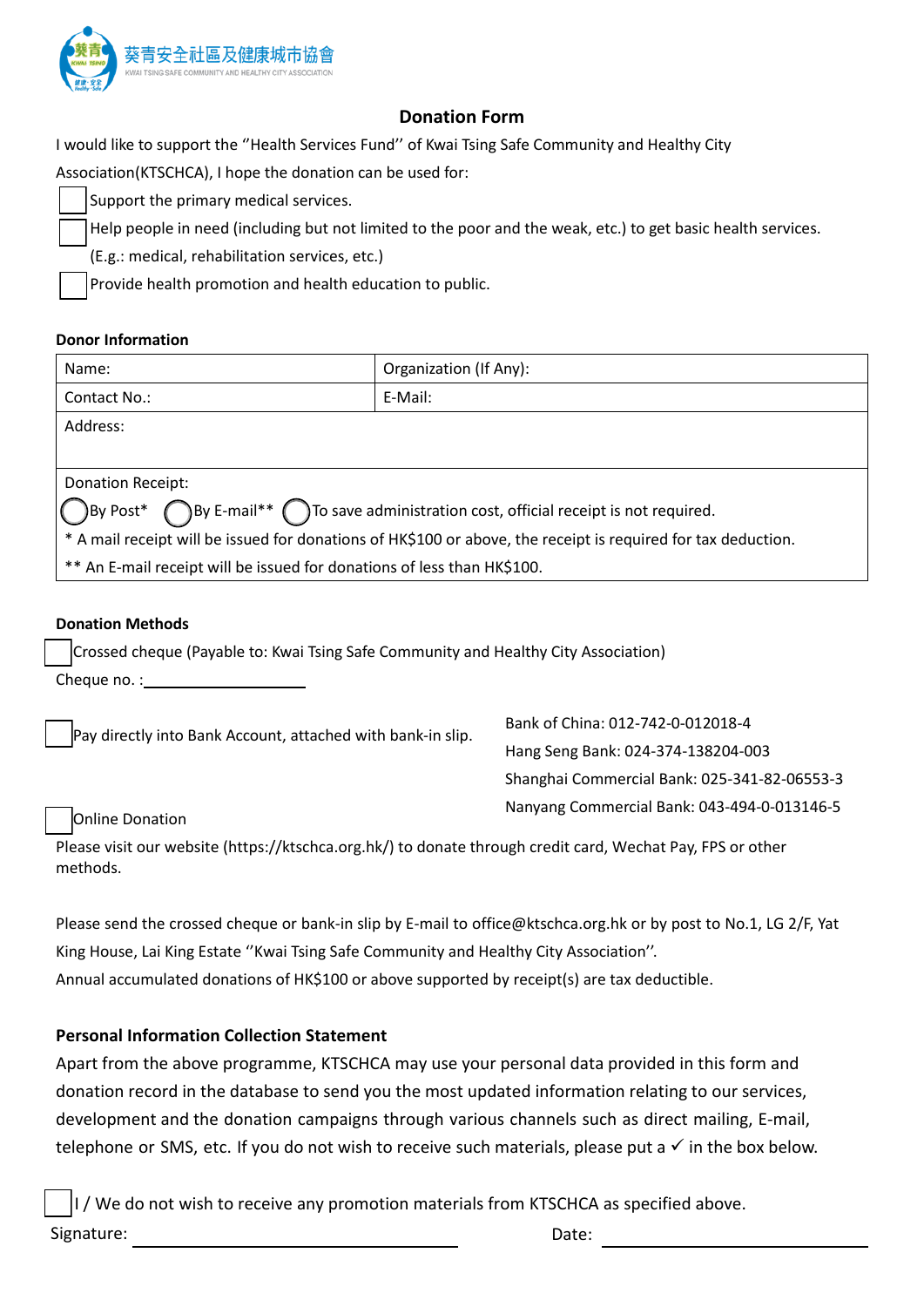

# **Donation Form**

I would like to support the ''Health Services Fund'' of Kwai Tsing Safe Community and Healthy City

Association(KTSCHCA), I hope the donation can be used for:

Support the primary medical services.

Help people in need (including but not limited to the poor and the weak, etc.) to get basic health services.

(E.g.: medical, rehabilitation services, etc.)

Provide health promotion and health education to public.

### **Donor Information**

| Name:                                                                                                                | Organization (If Any): |
|----------------------------------------------------------------------------------------------------------------------|------------------------|
| Contact No.:                                                                                                         | E-Mail:                |
| Address:                                                                                                             |                        |
|                                                                                                                      |                        |
| Donation Receipt:                                                                                                    |                        |
| $\bigcirc$ By Post* $\bigcirc$ By E-mail** $\bigcirc$ To save administration cost, official receipt is not required. |                        |
| * A mail receipt will be issued for donations of HK\$100 or above, the receipt is required for tax deduction.        |                        |
| ** An E-mail receipt will be issued for donations of less than HK\$100.                                              |                        |

### **Donation Methods**

Crossed cheque (Payable to: Kwai Tsing Safe Community and Healthy City Association) Cheque no. :

Pay directly into Bank Account, attached with bank-in slip.

Bank of China: 012-742-0-012018-4 Hang Seng Bank: 024-374-138204-003 Shanghai Commercial Bank: 025-341-82-06553-3 Nanyang Commercial Bank: 043-494-0-013146-5

#### Online Donation

Please visit our website (https://ktschca.org.hk/) to donate through credit card, Wechat Pay, FPS or other methods.

Please send the crossed cheque or bank-in slip by E-mail to office@ktschca.org.hk or by post to No.1, LG 2/F, Yat King House, Lai King Estate ''Kwai Tsing Safe Community and Healthy City Association''. Annual accumulated donations of HK\$100 or above supported by receipt(s) are tax deductible.

## **Personal Information Collection Statement**

Apart from the above programme, KTSCHCA may use your personal data provided in this form and donation record in the database to send you the most updated information relating to our services, development and the donation campaigns through various channels such as direct mailing, E-mail, telephone or SMS, etc. If you do not wish to receive such materials, please put a  $\checkmark$  in the box below.

I / We do not wish to receive any promotion materials from KTSCHCA as specified above. Signature: Note: Date: Date: Note: Note: Date: Date: Date: Date: Date: Date: Date: Date: Date: Date: Date: Date: Date: Date: Date: Date: Date: Date: Date: Date: Date: Date: Date: Date: Date: Date: Date: Date: Date: Date: D